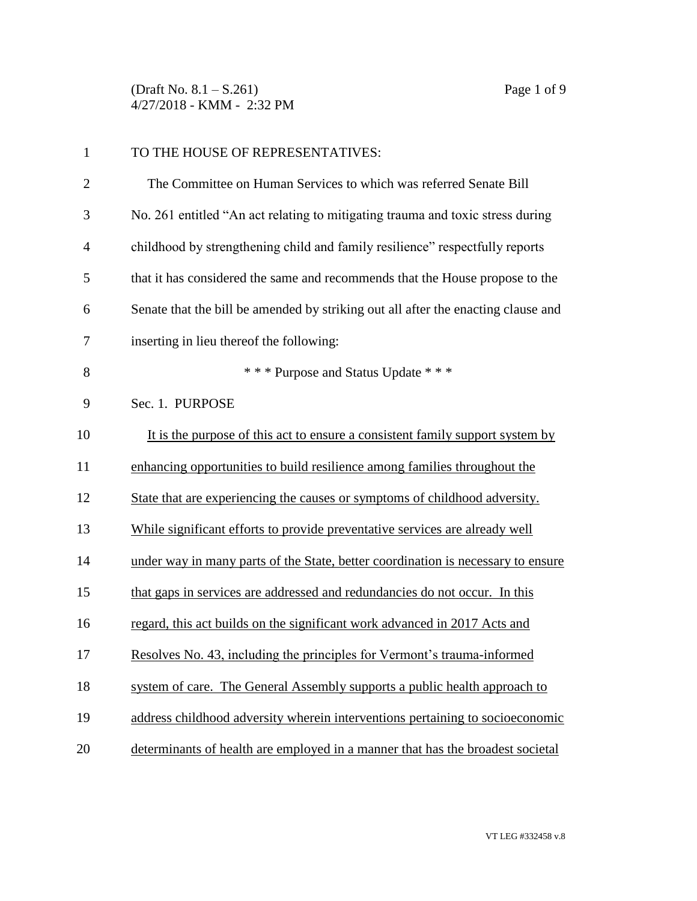(Draft No. 8.1 – S.261) Page 1 of 9 4/27/2018 - KMM - 2:32 PM

| $\mathbf{1}$   | TO THE HOUSE OF REPRESENTATIVES:                                                  |
|----------------|-----------------------------------------------------------------------------------|
| $\overline{2}$ | The Committee on Human Services to which was referred Senate Bill                 |
| 3              | No. 261 entitled "An act relating to mitigating trauma and toxic stress during    |
| $\overline{4}$ | childhood by strengthening child and family resilience" respectfully reports      |
| 5              | that it has considered the same and recommends that the House propose to the      |
| 6              | Senate that the bill be amended by striking out all after the enacting clause and |
| 7              | inserting in lieu thereof the following:                                          |
| 8              | * * * Purpose and Status Update * * *                                             |
| 9              | Sec. 1. PURPOSE                                                                   |
| 10             | It is the purpose of this act to ensure a consistent family support system by     |
| 11             | enhancing opportunities to build resilience among families throughout the         |
| 12             | State that are experiencing the causes or symptoms of childhood adversity.        |
| 13             | While significant efforts to provide preventative services are already well       |
| 14             | under way in many parts of the State, better coordination is necessary to ensure  |
| 15             | that gaps in services are addressed and redundancies do not occur. In this        |
| 16             | regard, this act builds on the significant work advanced in 2017 Acts and         |
| 17             | Resolves No. 43, including the principles for Vermont's trauma-informed           |
| 18             | system of care. The General Assembly supports a public health approach to         |
| 19             | address childhood adversity wherein interventions pertaining to socioeconomic     |
| 20             | determinants of health are employed in a manner that has the broadest societal    |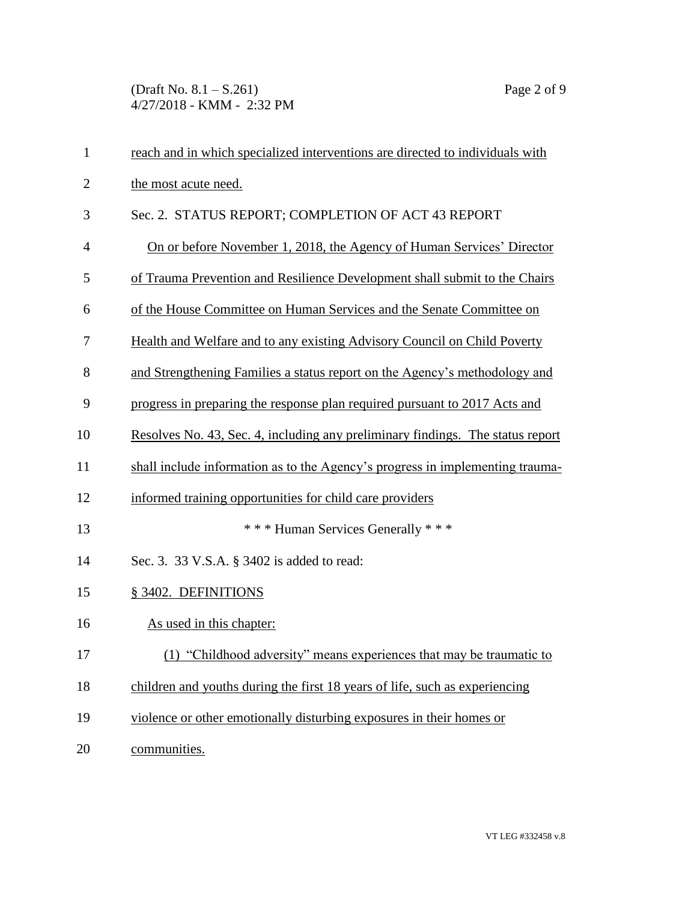(Draft No. 8.1 – S.261) Page 2 of 9 4/27/2018 - KMM - 2:32 PM

| $\mathbf{1}$   | reach and in which specialized interventions are directed to individuals with  |
|----------------|--------------------------------------------------------------------------------|
| $\overline{2}$ | the most acute need.                                                           |
| 3              | Sec. 2. STATUS REPORT; COMPLETION OF ACT 43 REPORT                             |
| $\overline{4}$ | On or before November 1, 2018, the Agency of Human Services' Director          |
| 5              | of Trauma Prevention and Resilience Development shall submit to the Chairs     |
| 6              | of the House Committee on Human Services and the Senate Committee on           |
| 7              | Health and Welfare and to any existing Advisory Council on Child Poverty       |
| 8              | and Strengthening Families a status report on the Agency's methodology and     |
| 9              | progress in preparing the response plan required pursuant to 2017 Acts and     |
| 10             | Resolves No. 43, Sec. 4, including any preliminary findings. The status report |
| 11             | shall include information as to the Agency's progress in implementing trauma-  |
| 12             | informed training opportunities for child care providers                       |
| 13             | *** Human Services Generally ***                                               |
| 14             | Sec. 3. 33 V.S.A. § 3402 is added to read:                                     |
| 15             | § 3402. DEFINITIONS                                                            |
| 16             | As used in this chapter:                                                       |
| 17             | (1) "Childhood adversity" means experiences that may be traumatic to           |
| 18             | children and youths during the first 18 years of life, such as experiencing    |
| 19             | violence or other emotionally disturbing exposures in their homes or           |
| 20             | communities.                                                                   |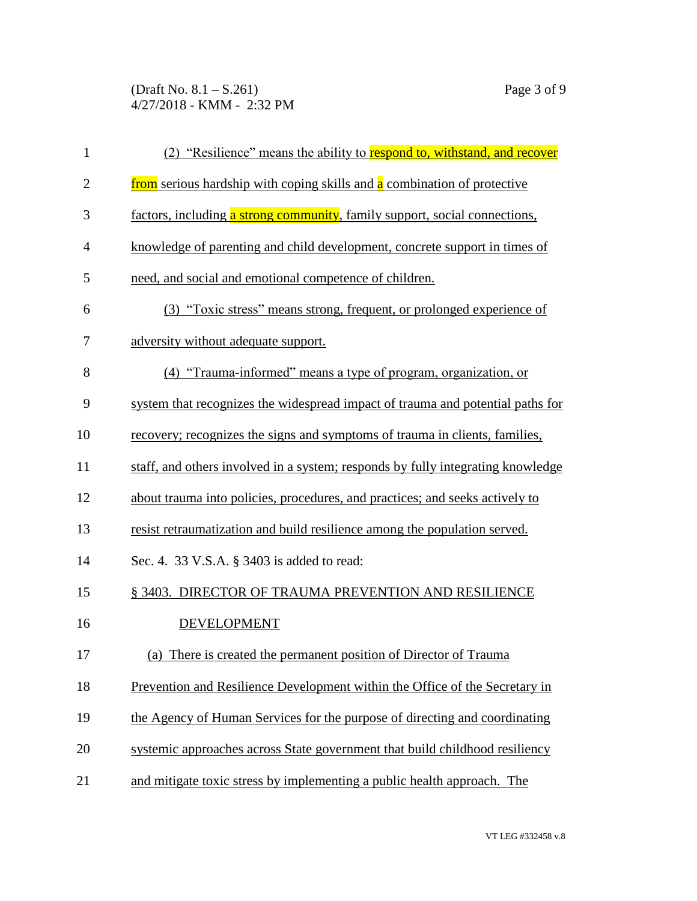(Draft No. 8.1 – S.261) Page 3 of 9 4/27/2018 - KMM - 2:32 PM

| $\mathbf{1}$   | (2) "Resilience" means the ability to respond to, withstand, and recover        |
|----------------|---------------------------------------------------------------------------------|
| $\mathbf{2}$   | from serious hardship with coping skills and a combination of protective        |
| 3              | factors, including a strong community, family support, social connections,      |
| $\overline{4}$ | knowledge of parenting and child development, concrete support in times of      |
| 5              | need, and social and emotional competence of children.                          |
| 6              | (3) "Toxic stress" means strong, frequent, or prolonged experience of           |
| 7              | adversity without adequate support.                                             |
| 8              | (4) "Trauma-informed" means a type of program, organization, or                 |
| 9              | system that recognizes the widespread impact of trauma and potential paths for  |
| 10             | recovery; recognizes the signs and symptoms of trauma in clients, families,     |
| 11             | staff, and others involved in a system; responds by fully integrating knowledge |
| 12             | about trauma into policies, procedures, and practices; and seeks actively to    |
| 13             | resist retraumatization and build resilience among the population served.       |
| 14             | Sec. 4. 33 V.S.A. § 3403 is added to read:                                      |
| 15             | § 3403. DIRECTOR OF TRAUMA PREVENTION AND RESILIENCE                            |
| 16             | <b>DEVELOPMENT</b>                                                              |
| 17             | (a) There is created the permanent position of Director of Trauma               |
| 18             | Prevention and Resilience Development within the Office of the Secretary in     |
| 19             | the Agency of Human Services for the purpose of directing and coordinating      |
| 20             | systemic approaches across State government that build childhood resiliency     |
| 21             | and mitigate toxic stress by implementing a public health approach. The         |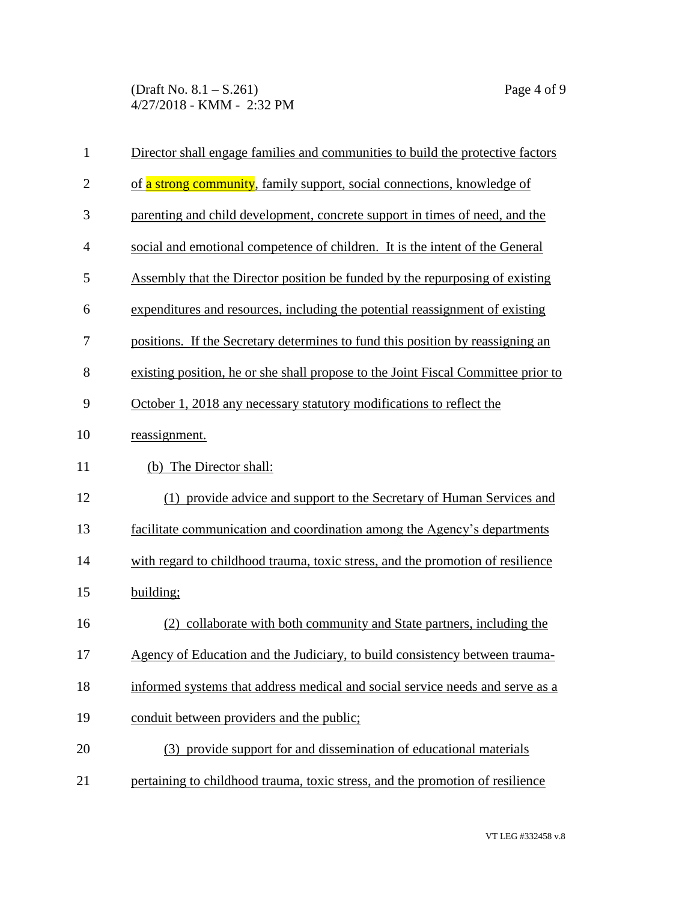(Draft No. 8.1 – S.261) Page 4 of 9 4/27/2018 - KMM - 2:32 PM

| $\mathbf{1}$   | Director shall engage families and communities to build the protective factors    |
|----------------|-----------------------------------------------------------------------------------|
| $\overline{2}$ | of a strong community, family support, social connections, knowledge of           |
| 3              | parenting and child development, concrete support in times of need, and the       |
| $\overline{4}$ | social and emotional competence of children. It is the intent of the General      |
| 5              | Assembly that the Director position be funded by the repurposing of existing      |
| 6              | expenditures and resources, including the potential reassignment of existing      |
| 7              | positions. If the Secretary determines to fund this position by reassigning an    |
| 8              | existing position, he or she shall propose to the Joint Fiscal Committee prior to |
| 9              | October 1, 2018 any necessary statutory modifications to reflect the              |
| 10             | reassignment.                                                                     |
| 11             | (b) The Director shall:                                                           |
| 12             | (1) provide advice and support to the Secretary of Human Services and             |
| 13             | facilitate communication and coordination among the Agency's departments          |
| 14             | with regard to childhood trauma, toxic stress, and the promotion of resilience    |
| 15             | building;                                                                         |
| 16             | collaborate with both community and State partners, including the<br>(2)          |
| 17             | Agency of Education and the Judiciary, to build consistency between trauma-       |
| 18             | informed systems that address medical and social service needs and serve as a     |
| 19             | conduit between providers and the public;                                         |
| 20             | (3) provide support for and dissemination of educational materials                |
| 21             | pertaining to childhood trauma, toxic stress, and the promotion of resilience     |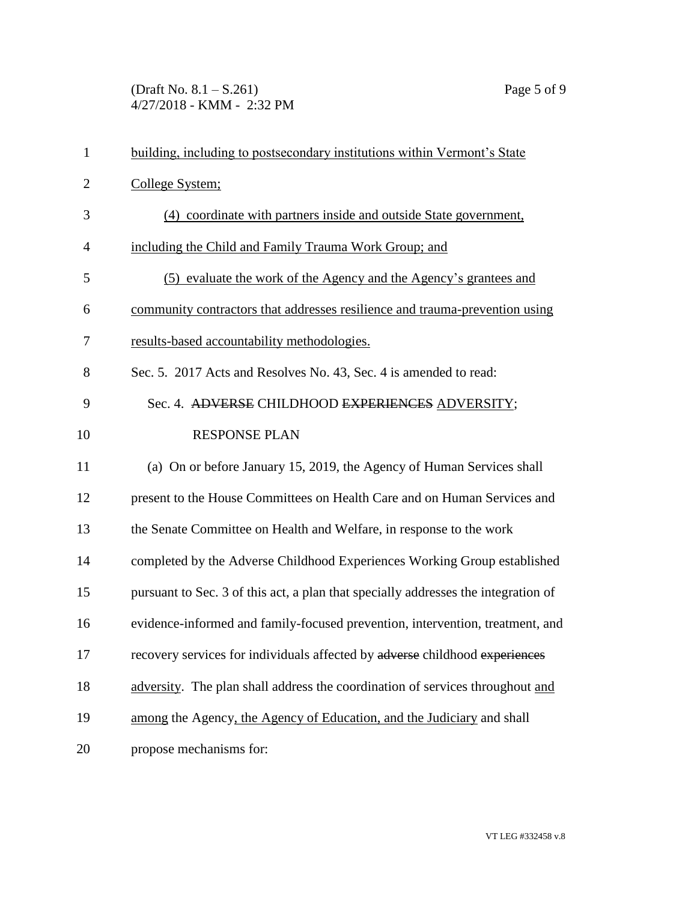(Draft No.  $8.1 - S.261$ ) Page 5 of 9 4/27/2018 - KMM - 2:32 PM

| $\mathbf{1}$   | building, including to postsecondary institutions within Vermont's State           |
|----------------|------------------------------------------------------------------------------------|
| $\overline{2}$ | College System;                                                                    |
| 3              | (4) coordinate with partners inside and outside State government,                  |
| 4              | including the Child and Family Trauma Work Group; and                              |
| 5              | (5) evaluate the work of the Agency and the Agency's grantees and                  |
| 6              | community contractors that addresses resilience and trauma-prevention using        |
| 7              | results-based accountability methodologies.                                        |
| 8              | Sec. 5. 2017 Acts and Resolves No. 43, Sec. 4 is amended to read:                  |
| 9              | Sec. 4. ADVERSE CHILDHOOD EXPERIENCES ADVERSITY;                                   |
| 10             | <b>RESPONSE PLAN</b>                                                               |
| 11             | (a) On or before January 15, 2019, the Agency of Human Services shall              |
| 12             | present to the House Committees on Health Care and on Human Services and           |
| 13             | the Senate Committee on Health and Welfare, in response to the work                |
| 14             | completed by the Adverse Childhood Experiences Working Group established           |
| 15             | pursuant to Sec. 3 of this act, a plan that specially addresses the integration of |
| 16             | evidence-informed and family-focused prevention, intervention, treatment, and      |
| 17             | recovery services for individuals affected by adverse childhood experiences        |
| 18             | adversity. The plan shall address the coordination of services throughout and      |
| 19             | among the Agency, the Agency of Education, and the Judiciary and shall             |
| 20             | propose mechanisms for:                                                            |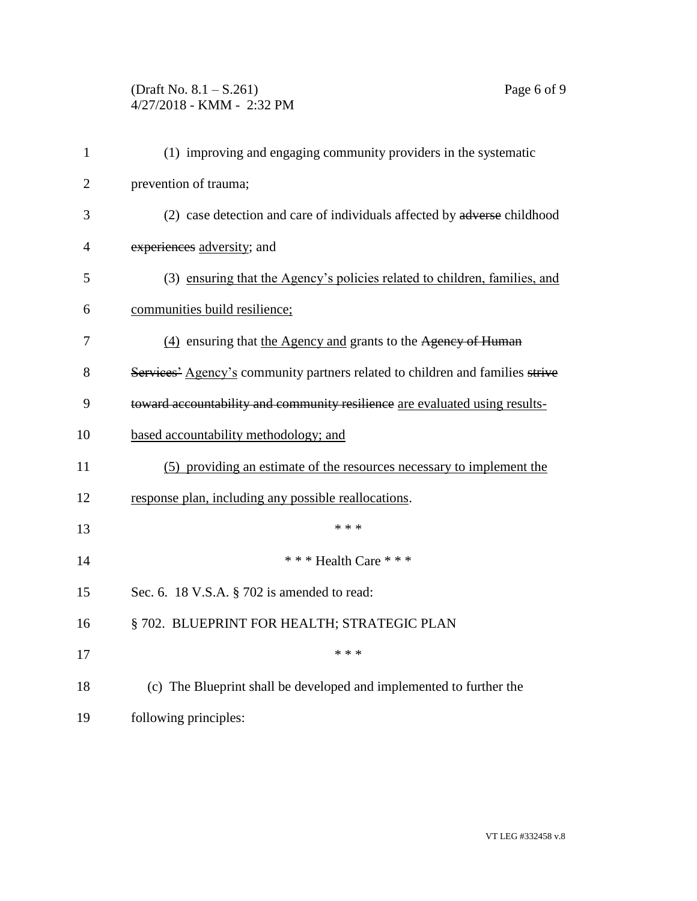## (Draft No. 8.1 – S.261) Page 6 of 9 4/27/2018 - KMM - 2:32 PM

| $\mathbf{1}$   | (1) improving and engaging community providers in the systematic                          |
|----------------|-------------------------------------------------------------------------------------------|
| $\overline{2}$ | prevention of trauma;                                                                     |
| 3              | (2) case detection and care of individuals affected by adverse childhood                  |
| 4              | experiences adversity; and                                                                |
| 5              | (3) ensuring that the Agency's policies related to children, families, and                |
| 6              | communities build resilience;                                                             |
| 7              | (4) ensuring that the Agency and grants to the Agency of Human                            |
| 8              | Services <sup>2</sup> Agency's community partners related to children and families strive |
| 9              | toward accountability and community resilience are evaluated using results-               |
| 10             | based accountability methodology; and                                                     |
| 11             | (5) providing an estimate of the resources necessary to implement the                     |
| 12             | response plan, including any possible reallocations.                                      |
| 13             | * * *                                                                                     |
| 14             | *** Health Care ***                                                                       |
| 15             | Sec. 6. 18 V.S.A. § 702 is amended to read:                                               |
| 16             | § 702. BLUEPRINT FOR HEALTH; STRATEGIC PLAN                                               |
| 17             | * * *                                                                                     |
| 18             | (c) The Blueprint shall be developed and implemented to further the                       |
| 19             | following principles:                                                                     |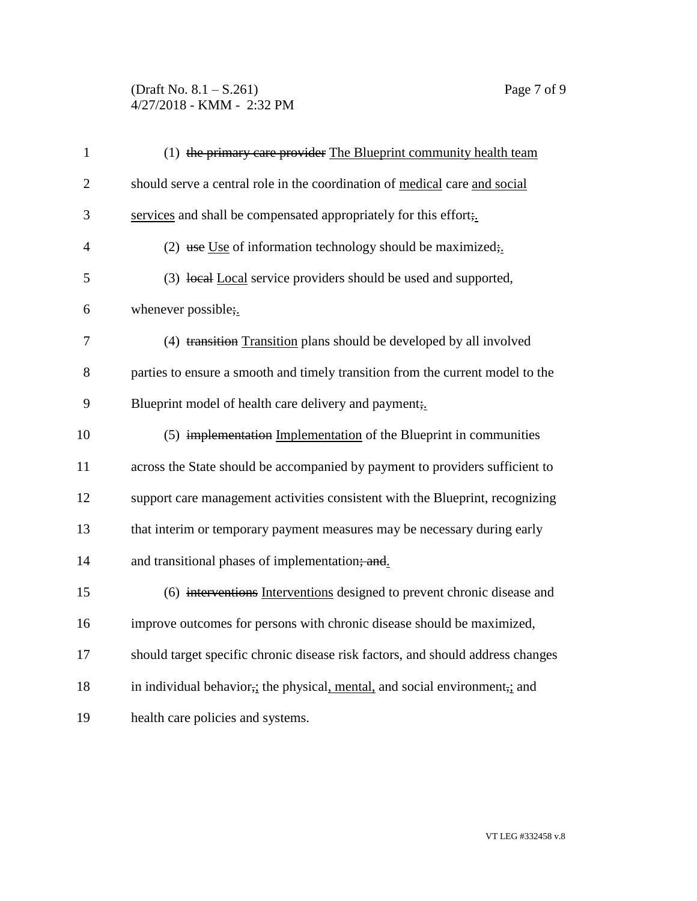(Draft No. 8.1 – S.261) Page 7 of 9 4/27/2018 - KMM - 2:32 PM

| $\mathbf{1}$   | (1) the primary care provider The Blueprint community health team                                     |
|----------------|-------------------------------------------------------------------------------------------------------|
| $\overline{2}$ | should serve a central role in the coordination of medical care and social                            |
| 3              | services and shall be compensated appropriately for this effort;                                      |
| $\overline{4}$ | (2) use Use of information technology should be maximized;                                            |
| 5              | (3) local Local service providers should be used and supported,                                       |
| 6              | whenever possible;.                                                                                   |
| 7              | (4) transition Transition plans should be developed by all involved                                   |
| 8              | parties to ensure a smooth and timely transition from the current model to the                        |
| 9              | Blueprint model of health care delivery and payment;                                                  |
| 10             | (5) implementation Implementation of the Blueprint in communities                                     |
| 11             | across the State should be accompanied by payment to providers sufficient to                          |
| 12             | support care management activities consistent with the Blueprint, recognizing                         |
| 13             | that interim or temporary payment measures may be necessary during early                              |
| 14             | and transitional phases of implementation; and.                                                       |
| 15             | (6) interventions Interventions designed to prevent chronic disease and                               |
| 16             | improve outcomes for persons with chronic disease should be maximized,                                |
| 17             | should target specific chronic disease risk factors, and should address changes                       |
| 18             | in individual behavior <sub>7</sub> ; the physical, mental, and social environment <sub>7</sub> ; and |
| 19             | health care policies and systems.                                                                     |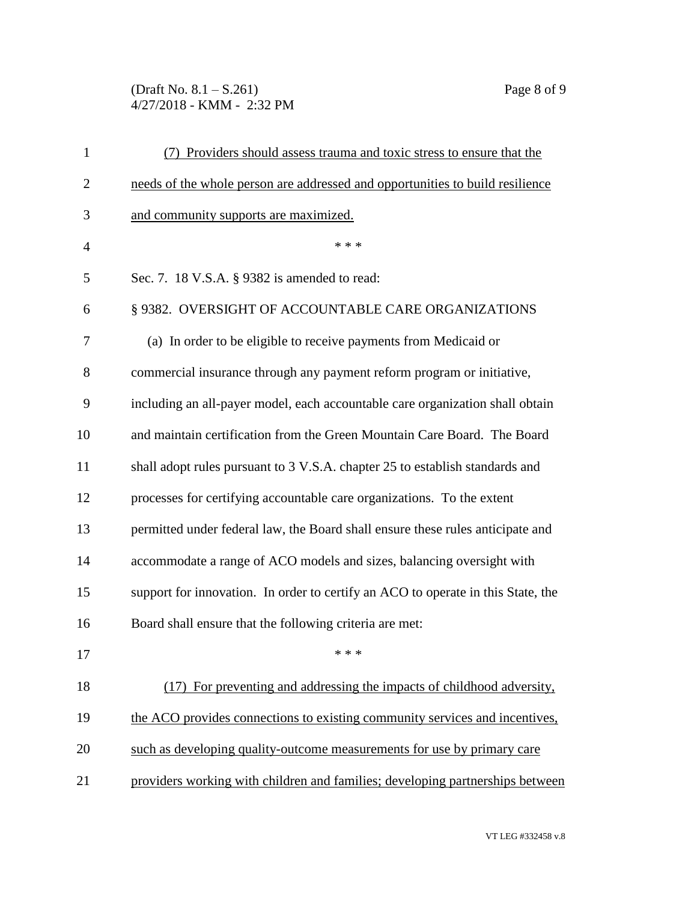(Draft No. 8.1 – S.261) Page 8 of 9 4/27/2018 - KMM - 2:32 PM

| $\mathbf{1}$   | Providers should assess trauma and toxic stress to ensure that the               |
|----------------|----------------------------------------------------------------------------------|
| $\overline{2}$ | needs of the whole person are addressed and opportunities to build resilience    |
| 3              | and community supports are maximized.                                            |
| $\overline{4}$ | * * *                                                                            |
| 5              | Sec. 7. 18 V.S.A. § 9382 is amended to read:                                     |
| 6              | § 9382. OVERSIGHT OF ACCOUNTABLE CARE ORGANIZATIONS                              |
| 7              | (a) In order to be eligible to receive payments from Medicaid or                 |
| 8              | commercial insurance through any payment reform program or initiative,           |
| 9              | including an all-payer model, each accountable care organization shall obtain    |
| 10             | and maintain certification from the Green Mountain Care Board. The Board         |
| 11             | shall adopt rules pursuant to 3 V.S.A. chapter 25 to establish standards and     |
| 12             | processes for certifying accountable care organizations. To the extent           |
| 13             | permitted under federal law, the Board shall ensure these rules anticipate and   |
| 14             | accommodate a range of ACO models and sizes, balancing oversight with            |
| 15             | support for innovation. In order to certify an ACO to operate in this State, the |
| 16             | Board shall ensure that the following criteria are met:                          |
| 17             | * * *                                                                            |
| 18             | (17) For preventing and addressing the impacts of childhood adversity,           |
| 19             | the ACO provides connections to existing community services and incentives,      |
| 20             | such as developing quality-outcome measurements for use by primary care          |
| 21             | providers working with children and families; developing partnerships between    |